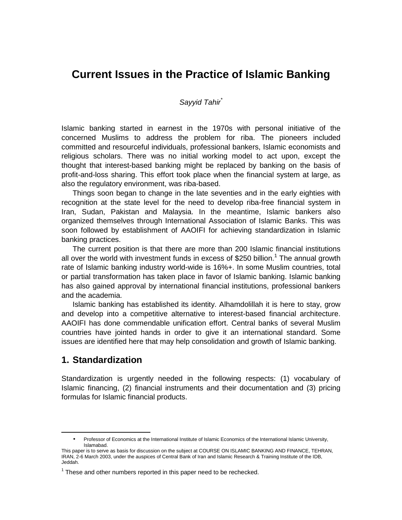# **Current Issues in the Practice of Islamic Banking**

#### *Sayyid Tahir\**

Islamic banking started in earnest in the 1970s with personal initiative of the concerned Muslims to address the problem for riba. The pioneers included committed and resourceful individuals, professional bankers, Islamic economists and religious scholars. There was no initial working model to act upon, except the thought that interest-based banking might be replaced by banking on the basis of profit-and-loss sharing. This effort took place when the financial system at large, as also the regulatory environment, was riba-based.

 Things soon began to change in the late seventies and in the early eighties with recognition at the state level for the need to develop riba-free financial system in Iran, Sudan, Pakistan and Malaysia. In the meantime, Islamic bankers also organized themselves through International Association of Islamic Banks. This was soon followed by establishment of AAOIFI for achieving standardization in Islamic banking practices.

 The current position is that there are more than 200 Islamic financial institutions all over the world with investment funds in excess of \$250 billion.<sup>1</sup> The annual growth rate of Islamic banking industry world-wide is 16%+. In some Muslim countries, total or partial transformation has taken place in favor of Islamic banking. Islamic banking has also gained approval by international financial institutions, professional bankers and the academia.

 Islamic banking has established its identity. Alhamdolillah it is here to stay, grow and develop into a competitive alternative to interest-based financial architecture. AAOIFI has done commendable unification effort. Central banks of several Muslim countries have jointed hands in order to give it an international standard. Some issues are identified here that may help consolidation and growth of Islamic banking.

### **1. Standardization**

-

Standardization is urgently needed in the following respects: (1) vocabulary of Islamic financing, (2) financial instruments and their documentation and (3) pricing formulas for Islamic financial products.

<sup>•</sup> Professor of Economics at the International Institute of Islamic Economics of the International Islamic University, Islamabad.

This paper is to serve as basis for discussion on the subject at COURSE ON ISLAMIC BANKING AND FINANCE, TEHRAN, IRAN, 2-6 March 2003, under the auspices of Central Bank of Iran and Islamic Research & Training Institute of the IDB, Jeddah.

 $1$  These and other numbers reported in this paper need to be rechecked.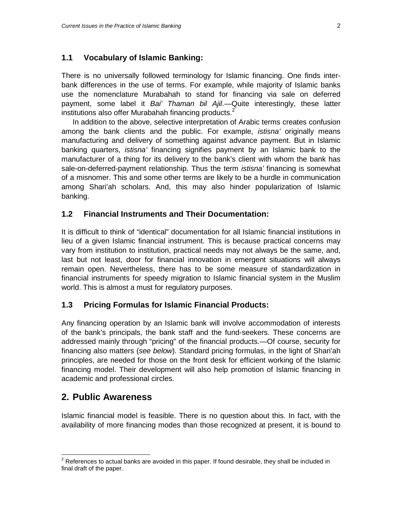#### **1.1 Vocabulary of Islamic Banking:**

There is no universally followed terminology for Islamic financing. One finds interbank differences in the use of terms. For example, while majority of Islamic banks use the nomenclature Murabahah to stand for financing via sale on deferred payment, some label it *Bai' Thaman bil Ajil*.—Quite interestingly, these latter institutions also offer Murabahah financing products.<sup>2</sup>

In addition to the above, selective interpretation of Arabic terms creates confusion among the bank clients and the public. For example, *istisna'* originally means manufacturing and delivery of something against advance payment. But in Islamic banking quarters, *istisna'* financing signifies payment by an Islamic bank to the manufacturer of a thing for its delivery to the bank's client with whom the bank has sale-on-deferred-payment relationship. Thus the term *istisna'* financing is somewhat of a misnomer. This and some other terms are likely to be a hurdle in communication among Shari'ah scholars. And, this may also hinder popularization of Islamic banking.

#### **1.2 Financial Instruments and Their Documentation:**

It is difficult to think of "identical" documentation for all Islamic financial institutions in lieu of a given Islamic financial instrument. This is because practical concerns may vary from institution to institution, practical needs may not always be the same, and, last but not least, door for financial innovation in emergent situations will always remain open. Nevertheless, there has to be some measure of standardization in financial instruments for speedy migration to Islamic financial system in the Muslim world. This is almost a must for regulatory purposes.

#### **1.3 Pricing Formulas for Islamic Financial Products:**

Any financing operation by an Islamic bank will involve accommodation of interests of the bank's principals, the bank staff and the fund-seekers. These concerns are addressed mainly through "pricing" of the financial products.—Of course, security for financing also matters (*see below*). Standard pricing formulas, in the light of Shari'ah principles, are needed for those on the front desk for efficient working of the Islamic financing model. Their development will also help promotion of Islamic financing in academic and professional circles.

## **2. Public Awareness**

Islamic financial model is feasible. There is no question about this. In fact, with the availability of more financing modes than those recognized at present, it is bound to

 2 References to actual banks are avoided in this paper. If found desirable, they shall be included in final draft of the paper.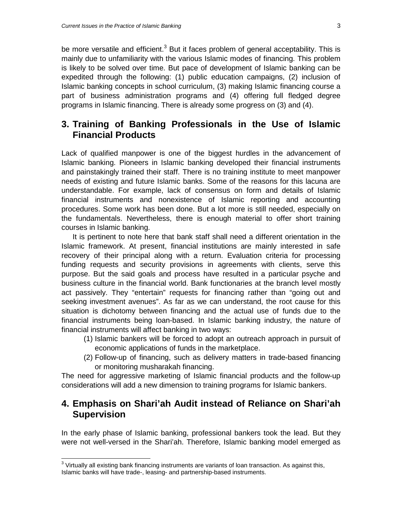be more versatile and efficient.<sup>3</sup> But it faces problem of general acceptability. This is mainly due to unfamiliarity with the various Islamic modes of financing. This problem is likely to be solved over time. But pace of development of Islamic banking can be expedited through the following: (1) public education campaigns, (2) inclusion of Islamic banking concepts in school curriculum, (3) making Islamic financing course a part of business administration programs and (4) offering full fledged degree programs in Islamic financing. There is already some progress on (3) and (4).

## **3. Training of Banking Professionals in the Use of Islamic Financial Products**

Lack of qualified manpower is one of the biggest hurdles in the advancement of Islamic banking. Pioneers in Islamic banking developed their financial instruments and painstakingly trained their staff. There is no training institute to meet manpower needs of existing and future Islamic banks. Some of the reasons for this lacuna are understandable. For example, lack of consensus on form and details of Islamic financial instruments and nonexistence of Islamic reporting and accounting procedures. Some work has been done. But a lot more is still needed, especially on the fundamentals. Nevertheless, there is enough material to offer short training courses in Islamic banking.

It is pertinent to note here that bank staff shall need a different orientation in the Islamic framework. At present, financial institutions are mainly interested in safe recovery of their principal along with a return. Evaluation criteria for processing funding requests and security provisions in agreements with clients, serve this purpose. But the said goals and process have resulted in a particular psyche and business culture in the financial world. Bank functionaries at the branch level mostly act passively. They "entertain" requests for financing rather than "going out and seeking investment avenues". As far as we can understand, the root cause for this situation is dichotomy between financing and the actual use of funds due to the financial instruments being loan-based. In Islamic banking industry, the nature of financial instruments will affect banking in two ways:

- (1) Islamic bankers will be forced to adopt an outreach approach in pursuit of economic applications of funds in the marketplace.
- (2) Follow-up of financing, such as delivery matters in trade-based financing or monitoring musharakah financing.

The need for aggressive marketing of Islamic financial products and the follow-up considerations will add a new dimension to training programs for Islamic bankers.

## **4. Emphasis on Shari'ah Audit instead of Reliance on Shari'ah Supervision**

In the early phase of Islamic banking, professional bankers took the lead. But they were not well-versed in the Shari'ah. Therefore, Islamic banking model emerged as

<sup>-</sup> $3$  Virtually all existing bank financing instruments are variants of loan transaction. As against this, Islamic banks will have trade-, leasing- and partnership-based instruments.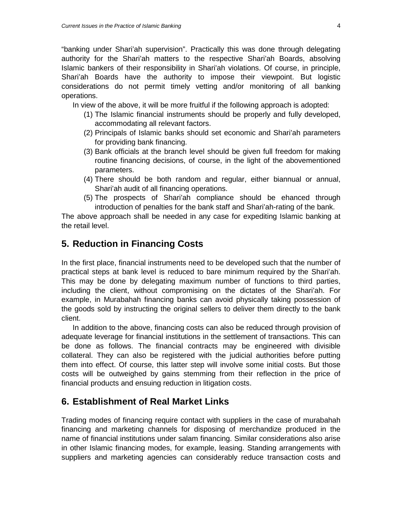"banking under Shari'ah supervision". Practically this was done through delegating authority for the Shari'ah matters to the respective Shari'ah Boards, absolving Islamic bankers of their responsibility in Shari'ah violations. Of course, in principle, Shari'ah Boards have the authority to impose their viewpoint. But logistic considerations do not permit timely vetting and/or monitoring of all banking operations.

In view of the above, it will be more fruitful if the following approach is adopted:

- (1) The Islamic financial instruments should be properly and fully developed, accommodating all relevant factors.
- (2) Principals of Islamic banks should set economic and Shari'ah parameters for providing bank financing.
- (3) Bank officials at the branch level should be given full freedom for making routine financing decisions, of course, in the light of the abovementioned parameters.
- (4) There should be both random and regular, either biannual or annual, Shari'ah audit of all financing operations.
- (5) The prospects of Shari'ah compliance should be ehanced through introduction of penalties for the bank staff and Shari'ah-rating of the bank.

The above approach shall be needed in any case for expediting Islamic banking at the retail level.

## **5. Reduction in Financing Costs**

In the first place, financial instruments need to be developed such that the number of practical steps at bank level is reduced to bare minimum required by the Shari'ah. This may be done by delegating maximum number of functions to third parties, including the client, without compromising on the dictates of the Shari'ah. For example, in Murabahah financing banks can avoid physically taking possession of the goods sold by instructing the original sellers to deliver them directly to the bank client.

 In addition to the above, financing costs can also be reduced through provision of adequate leverage for financial institutions in the settlement of transactions. This can be done as follows. The financial contracts may be engineered with divisible collateral. They can also be registered with the judicial authorities before putting them into effect. Of course, this latter step will involve some initial costs. But those costs will be outweighed by gains stemming from their reflection in the price of financial products and ensuing reduction in litigation costs.

## **6. Establishment of Real Market Links**

Trading modes of financing require contact with suppliers in the case of murabahah financing and marketing channels for disposing of merchandize produced in the name of financial institutions under salam financing. Similar considerations also arise in other Islamic financing modes, for example, leasing. Standing arrangements with suppliers and marketing agencies can considerably reduce transaction costs and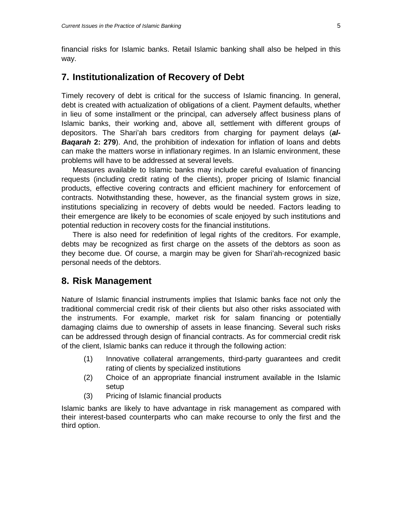financial risks for Islamic banks. Retail Islamic banking shall also be helped in this way.

## **7. Institutionalization of Recovery of Debt**

Timely recovery of debt is critical for the success of Islamic financing. In general, debt is created with actualization of obligations of a client. Payment defaults, whether in lieu of some installment or the principal, can adversely affect business plans of Islamic banks, their working and, above all, settlement with different groups of depositors. The Shari'ah bars creditors from charging for payment delays (*al-***Bagarah 2: 279**). And, the prohibition of indexation for inflation of loans and debts can make the matters worse in inflationary regimes. In an Islamic environment, these problems will have to be addressed at several levels.

 Measures available to Islamic banks may include careful evaluation of financing requests (including credit rating of the clients), proper pricing of Islamic financial products, effective covering contracts and efficient machinery for enforcement of contracts. Notwithstanding these, however, as the financial system grows in size, institutions specializing in recovery of debts would be needed. Factors leading to their emergence are likely to be economies of scale enjoyed by such institutions and potential reduction in recovery costs for the financial institutions.

 There is also need for redefinition of legal rights of the creditors. For example, debts may be recognized as first charge on the assets of the debtors as soon as they become due. Of course, a margin may be given for Shari'ah-recognized basic personal needs of the debtors.

## **8. Risk Management**

Nature of Islamic financial instruments implies that Islamic banks face not only the traditional commercial credit risk of their clients but also other risks associated with the instruments. For example, market risk for salam financing or potentially damaging claims due to ownership of assets in lease financing. Several such risks can be addressed through design of financial contracts. As for commercial credit risk of the client, Islamic banks can reduce it through the following action:

- (1) Innovative collateral arrangements, third-party guarantees and credit rating of clients by specialized institutions
- (2) Choice of an appropriate financial instrument available in the Islamic setup
- (3) Pricing of Islamic financial products

Islamic banks are likely to have advantage in risk management as compared with their interest-based counterparts who can make recourse to only the first and the third option.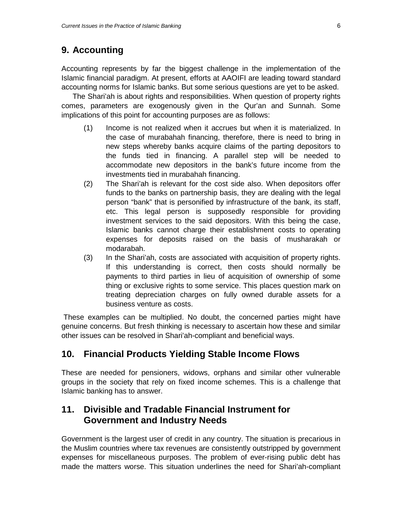# **9. Accounting**

Accounting represents by far the biggest challenge in the implementation of the Islamic financial paradigm. At present, efforts at AAOIFI are leading toward standard accounting norms for Islamic banks. But some serious questions are yet to be asked.

The Shari'ah is about rights and responsibilities. When question of property rights comes, parameters are exogenously given in the Qur'an and Sunnah. Some implications of this point for accounting purposes are as follows:

- (1) Income is not realized when it accrues but when it is materialized. In the case of murabahah financing, therefore, there is need to bring in new steps whereby banks acquire claims of the parting depositors to the funds tied in financing. A parallel step will be needed to accommodate new depositors in the bank's future income from the investments tied in murabahah financing.
- (2) The Shari'ah is relevant for the cost side also. When depositors offer funds to the banks on partnership basis, they are dealing with the legal person "bank" that is personified by infrastructure of the bank, its staff, etc. This legal person is supposedly responsible for providing investment services to the said depositors. With this being the case, Islamic banks cannot charge their establishment costs to operating expenses for deposits raised on the basis of musharakah or modarabah.
- (3) In the Shari'ah, costs are associated with acquisition of property rights. If this understanding is correct, then costs should normally be payments to third parties in lieu of acquisition of ownership of some thing or exclusive rights to some service. This places question mark on treating depreciation charges on fully owned durable assets for a business venture as costs.

 These examples can be multiplied. No doubt, the concerned parties might have genuine concerns. But fresh thinking is necessary to ascertain how these and similar other issues can be resolved in Shari'ah-compliant and beneficial ways.

# **10. Financial Products Yielding Stable Income Flows**

These are needed for pensioners, widows, orphans and similar other vulnerable groups in the society that rely on fixed income schemes. This is a challenge that Islamic banking has to answer.

# **11. Divisible and Tradable Financial Instrument for Government and Industry Needs**

Government is the largest user of credit in any country. The situation is precarious in the Muslim countries where tax revenues are consistently outstripped by government expenses for miscellaneous purposes. The problem of ever-rising public debt has made the matters worse. This situation underlines the need for Shari'ah-compliant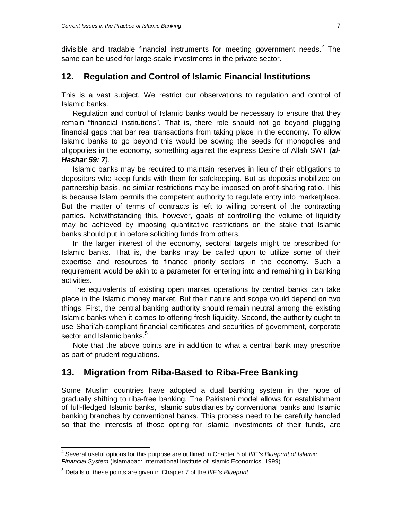divisible and tradable financial instruments for meeting government needs. 4 The same can be used for large-scale investments in the private sector.

#### **12. Regulation and Control of Islamic Financial Institutions**

This is a vast subject. We restrict our observations to regulation and control of Islamic banks.

Regulation and control of Islamic banks would be necessary to ensure that they remain "financial institutions". That is, there role should not go beyond plugging financial gaps that bar real transactions from taking place in the economy. To allow Islamic banks to go beyond this would be sowing the seeds for monopolies and oligopolies in the economy, something against the express Desire of Allah SWT (*al-Hashar 59: 7)*.

Islamic banks may be required to maintain reserves in lieu of their obligations to depositors who keep funds with them for safekeeping. But as deposits mobilized on partnership basis, no similar restrictions may be imposed on profit-sharing ratio. This is because Islam permits the competent authority to regulate entry into marketplace. But the matter of terms of contracts is left to willing consent of the contracting parties. Notwithstanding this, however, goals of controlling the volume of liquidity may be achieved by imposing quantitative restrictions on the stake that Islamic banks should put in before soliciting funds from others.

 In the larger interest of the economy, sectoral targets might be prescribed for Islamic banks. That is, the banks may be called upon to utilize some of their expertise and resources to finance priority sectors in the economy. Such a requirement would be akin to a parameter for entering into and remaining in banking activities.

 The equivalents of existing open market operations by central banks can take place in the Islamic money market. But their nature and scope would depend on two things. First, the central banking authority should remain neutral among the existing Islamic banks when it comes to offering fresh liquidity. Second, the authority ought to use Shari'ah-compliant financial certificates and securities of government, corporate sector and Islamic banks.<sup>5</sup>

 Note that the above points are in addition to what a central bank may prescribe as part of prudent regulations.

## **13. Migration from Riba-Based to Riba-Free Banking**

Some Muslim countries have adopted a dual banking system in the hope of gradually shifting to riba-free banking. The Pakistani model allows for establishment of full-fledged Islamic banks, Islamic subsidiaries by conventional banks and Islamic banking branches by conventional banks. This process need to be carefully handled so that the interests of those opting for Islamic investments of their funds, are

 4 Several useful options for this purpose are outlined in Chapter 5 of *IIIE's Blueprint of Islamic Financial System* (Islamabad: International Institute of Islamic Economics, 1999).

<sup>5</sup> Details of these points are given in Chapter 7 of the *IIIE's Blueprint*.